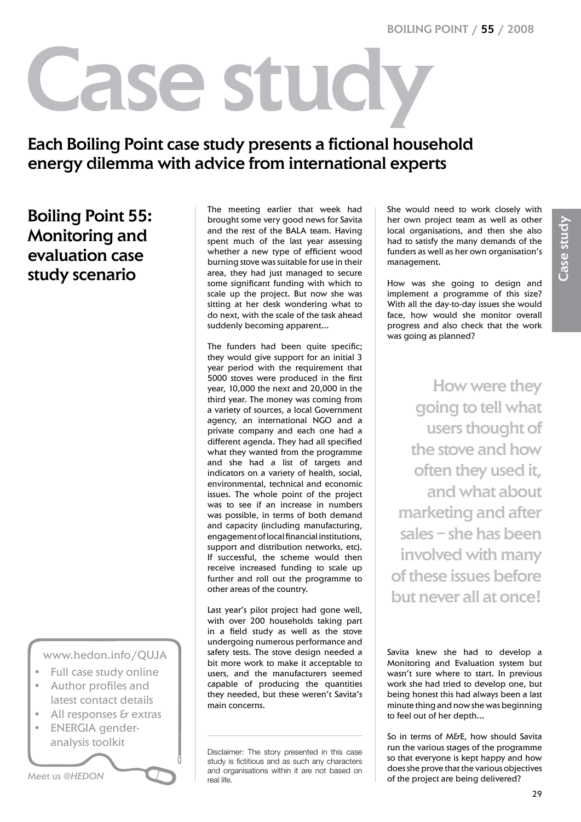# Case stud

# Each Boiling Point case study presents a fictional household energy dilemma with advice from international experts

# Boiling Point 55: Monitoring and evaluation case study scenario

www.hedon.info/QUJA

- Full case study online
- Author profiles and latest contact details
- All responses  $\epsilon$  extras
- ENERGIA genderanalysis toolkit

Meet us *@HEDON*

The meeting earlier that week had brought some very good news for Savita and the rest of the BALA team. Having spent much of the last year assessing whether a new type of efficient wood burning stove was suitable for use in their area, they had just managed to secure some significant funding with which to scale up the project. But now she was sitting at her desk wondering what to do next, with the scale of the task ahead suddenly becoming apparent…

The funders had been quite specific; they would give support for an initial 3 year period with the requirement that 5000 stoves were produced in the first year, 10,000 the next and 20,000 in the third year. The money was coming from a variety of sources, a local Government agency, an international NGO and a private company and each one had a different agenda. They had all specified what they wanted from the programme and she had a list of targets and indicators on a variety of health, social, environmental, technical and economic issues. The whole point of the project was to see if an increase in numbers was possible, in terms of both demand and capacity (including manufacturing, engagement of local financial institutions, support and distribution networks, etc). If successful, the scheme would then receive increased funding to scale up further and roll out the programme to other areas of the country.

Last year's pilot project had gone well, with over 200 households taking part in a field study as well as the stove undergoing numerous performance and safety tests. The stove design needed a bit more work to make it acceptable to users, and the manufacturers seemed capable of producing the quantities they needed, but these weren't Savita's main concerns.

Disclaimer: The story presented in this case study is fictitious and as such any characters and organisations within it are not based on real life.

She would need to work closely with her own project team as well as other local organisations, and then she also had to satisfy the many demands of the funders as well as her own organisation's management.

How was she going to design and implement a programme of this size? With all the day-to-day issues she would face, how would she monitor overall progress and also check that the work was going as planned?

How were they going to tell what users thought of the stove and how often they used it, and what about marketing and after sales – she has been involved with many of these issues before but never all at once!

Savita knew she had to develop a Monitoring and Evaluation system but wasn't sure where to start. In previous work she had tried to develop one, but being honest this had always been a last minute thing and now she was beginning to feel out of her depth…

So in terms of M&E, how should Savita run the various stages of the programme so that everyone is kept happy and how does she prove that the various objectives of the project are being delivered?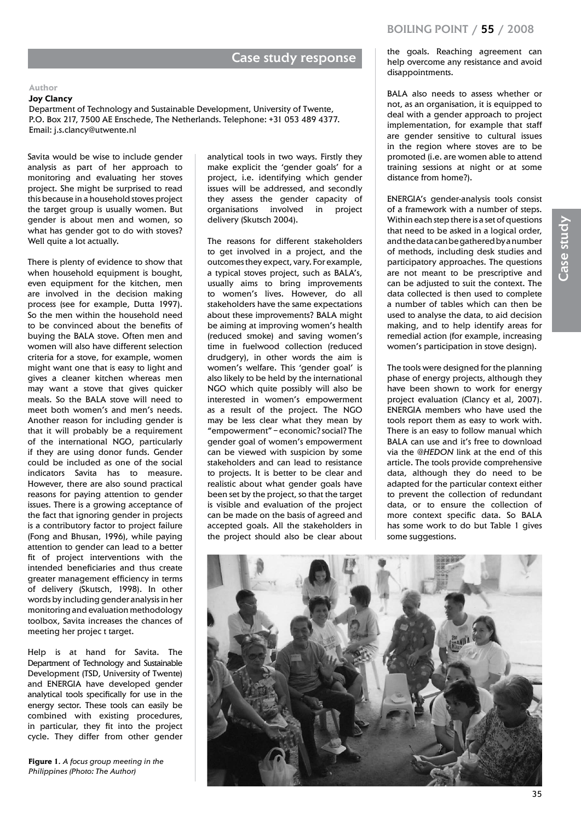## Case study response

#### **Author**

#### **Joy Clancy**

Department of Technology and Sustainable Development, University of Twente, P.O. Box 217, 7500 AE Enschede, The Netherlands. Telephone: +31 053 489 4377. Email: j.s.clancy@utwente.nl

Savita would be wise to include gender analysis as part of her approach to monitoring and evaluating her stoves project. She might be surprised to read this because in a household stoves project the target group is usually women. But gender is about men and women, so what has gender got to do with stoves? Well quite a lot actually.

There is plenty of evidence to show that when household equipment is bought, even equipment for the kitchen, men are involved in the decision making process (see for example, Dutta 1997). So the men within the household need to be convinced about the benefits of buying the BALA stove. Often men and women will also have different selection criteria for a stove, for example, women might want one that is easy to light and gives a cleaner kitchen whereas men may want a stove that gives quicker meals. So the BALA stove will need to meet both women's and men's needs. Another reason for including gender is that it will probably be a requirement of the international NGO, particularly if they are using donor funds. Gender could be included as one of the social indicators Savita has to measure. However, there are also sound practical reasons for paying attention to gender issues. There is a growing acceptance of the fact that ignoring gender in projects is a contributory factor to project failure (Fong and Bhusan, 1996), while paying attention to gender can lead to a better fit of project interventions with the intended beneficiaries and thus create greater management efficiency in terms of delivery (Skutsch, 1998). In other words by including gender analysis in her monitoring and evaluation methodology toolbox, Savita increases the chances of meeting her projec t target.

Help is at hand for Savita. The Department of Technology and Sustainable Development (TSD, University of Twente) and ENERGIA have developed gender analytical tools specifically for use in the energy sector. These tools can easily be combined with existing procedures, in particular, they fit into the project cycle. They differ from other gender

**Figure 1***. A focus group meeting in the Philippines (Photo: The Author)*

analytical tools in two ways. Firstly they make explicit the 'gender goals' for a project, i.e. identifying which gender issues will be addressed, and secondly they assess the gender capacity of organisations involved in project delivery (Skutsch 2004).

The reasons for different stakeholders to get involved in a project, and the outcomes they expect, vary. For example, a typical stoves project, such as BALA's, usually aims to bring improvements to women's lives. However, do all stakeholders have the same expectations about these improvements? BALA might be aiming at improving women's health (reduced smoke) and saving women's time in fuelwood collection (reduced drudgery), in other words the aim is women's welfare. This 'gender goal' is also likely to be held by the international NGO which quite possibly will also be interested in women's empowerment as a result of the project. The NGO may be less clear what they mean by "empowerment" – economic? social? The gender goal of women's empowerment can be viewed with suspicion by some stakeholders and can lead to resistance to projects. It is better to be clear and realistic about what gender goals have been set by the project, so that the target is visible and evaluation of the project can be made on the basis of agreed and accepted goals. All the stakeholders in the project should also be clear about the goals. Reaching agreement can help overcome any resistance and avoid disappointments.

BALA also needs to assess whether or not, as an organisation, it is equipped to deal with a gender approach to project implementation, for example that staff are gender sensitive to cultural issues in the region where stoves are to be promoted (i.e. are women able to attend training sessions at night or at some distance from home?).

ENERGIA's gender-analysis tools consist of a framework with a number of steps. Within each step there is a set of questions that need to be asked in a logical order, and the data can be gathered by a number of methods, including desk studies and participatory approaches. The questions are not meant to be prescriptive and can be adjusted to suit the context. The data collected is then used to complete a number of tables which can then be used to analyse the data, to aid decision making, and to help identify areas for remedial action (for example, increasing women's participation in stove design).

The tools were designed for the planning phase of energy projects, although they have been shown to work for energy project evaluation (Clancy et al, 2007). ENERGIA members who have used the tools report them as easy to work with. There is an easy to follow manual which BALA can use and it's free to download via the *@HEDON* link at the end of this article. The tools provide comprehensive data, although they do need to be adapted for the particular context either to prevent the collection of redundant data, or to ensure the collection of more context specific data. So BALA has some work to do but Table 1 gives some suggestions.